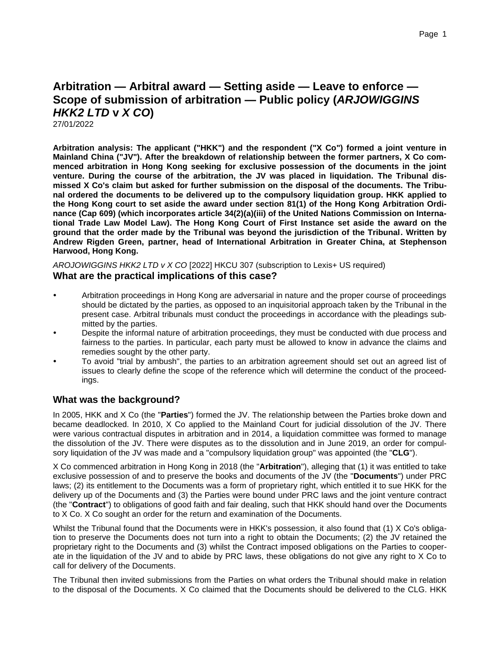# **Arbitration — Arbitral award — Setting aside — Leave to enforce — Scope of submission of arbitration — Public policy (***ARJOWIGGINS HKK2 LTD* **v** *X CO***)**

27/01/2022

**Arbitration analysis: The applicant ("HKK") and the respondent ("X Co") formed a joint venture in Mainland China ("JV"). After the breakdown of relationship between the former partners, X Co commenced arbitration in Hong Kong seeking for exclusive possession of the documents in the joint venture. During the course of the arbitration, the JV was placed in liquidation. The Tribunal dismissed X Co's claim but asked for further submission on the disposal of the documents. The Tribunal ordered the documents to be delivered up to the compulsory liquidation group. HKK applied to the Hong Kong court to set aside the award under section 81(1) of the Hong Kong Arbitration Ordinance (Cap 609) (which incorporates article 34(2)(a)(iii) of the United Nations Commission on International Trade Law Model Law). The Hong Kong Court of First Instance set aside the award on the ground that the order made by the Tribunal was beyond the jurisdiction of the Tribunal. Written by Andrew Rigden Green, partner, head of International Arbitration in Greater China, at Stephenson Harwood, Hong Kong.**

*AROJOWIGGINS HKK2 LTD v X CO* [2022] HKCU 307 (subscription to Lexis+ US required) **What are the practical implications of this case?**

- Arbitration proceedings in Hong Kong are adversarial in nature and the proper course of proceedings should be dictated by the parties, as opposed to an inquisitorial approach taken by the Tribunal in the present case. Arbitral tribunals must conduct the proceedings in accordance with the pleadings submitted by the parties.
- Despite the informal nature of arbitration proceedings, they must be conducted with due process and fairness to the parties. In particular, each party must be allowed to know in advance the claims and remedies sought by the other party.
- To avoid "trial by ambush", the parties to an arbitration agreement should set out an agreed list of issues to clearly define the scope of the reference which will determine the conduct of the proceedings.

## **What was the background?**

In 2005, HKK and X Co (the "**Parties**") formed the JV. The relationship between the Parties broke down and became deadlocked. In 2010, X Co applied to the Mainland Court for judicial dissolution of the JV. There were various contractual disputes in arbitration and in 2014, a liquidation committee was formed to manage the dissolution of the JV. There were disputes as to the dissolution and in June 2019, an order for compulsory liquidation of the JV was made and a "compulsory liquidation group" was appointed (the "**CLG**").

X Co commenced arbitration in Hong Kong in 2018 (the "**Arbitration**"), alleging that (1) it was entitled to take exclusive possession of and to preserve the books and documents of the JV (the "**Documents**") under PRC laws; (2) its entitlement to the Documents was a form of proprietary right, which entitled it to sue HKK for the delivery up of the Documents and (3) the Parties were bound under PRC laws and the joint venture contract (the "**Contract**") to obligations of good faith and fair dealing, such that HKK should hand over the Documents to X Co. X Co sought an order for the return and examination of the Documents.

Whilst the Tribunal found that the Documents were in HKK's possession, it also found that (1) X Co's obligation to preserve the Documents does not turn into a right to obtain the Documents; (2) the JV retained the proprietary right to the Documents and (3) whilst the Contract imposed obligations on the Parties to cooperate in the liquidation of the JV and to abide by PRC laws, these obligations do not give any right to X Co to call for delivery of the Documents.

The Tribunal then invited submissions from the Parties on what orders the Tribunal should make in relation to the disposal of the Documents. X Co claimed that the Documents should be delivered to the CLG. HKK